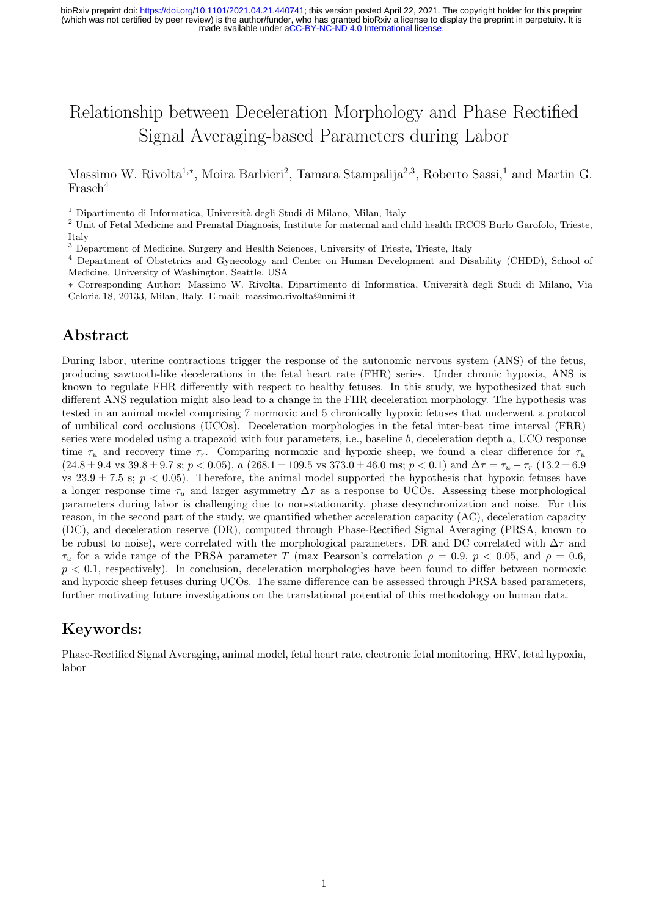# Relationship between Deceleration Morphology and Phase Rectified Signal Averaging-based Parameters during Labor

Massimo W. Rivolta<sup>1,\*</sup>, Moira Barbieri<sup>2</sup>, Tamara Stampalija<sup>2,3</sup>, Roberto Sassi,<sup>1</sup> and Martin G. Frasch<sup>4</sup>

<sup>1</sup> Dipartimento di Informatica, Università degli Studi di Milano, Milan, Italy

<sup>2</sup> Unit of Fetal Medicine and Prenatal Diagnosis, Institute for maternal and child health IRCCS Burlo Garofolo, Trieste, Italy

<sup>3</sup> Department of Medicine, Surgery and Health Sciences, University of Trieste, Trieste, Italy

<sup>4</sup> Department of Obstetrics and Gynecology and Center on Human Development and Disability (CHDD), School of Medicine, University of Washington, Seattle, USA

∗ Corresponding Author: Massimo W. Rivolta, Dipartimento di Informatica, Universit`a degli Studi di Milano, Via Celoria 18, 20133, Milan, Italy. E-mail: massimo.rivolta@unimi.it

# Abstract

During labor, uterine contractions trigger the response of the autonomic nervous system (ANS) of the fetus, producing sawtooth-like decelerations in the fetal heart rate (FHR) series. Under chronic hypoxia, ANS is known to regulate FHR differently with respect to healthy fetuses. In this study, we hypothesized that such different ANS regulation might also lead to a change in the FHR deceleration morphology. The hypothesis was tested in an animal model comprising 7 normoxic and 5 chronically hypoxic fetuses that underwent a protocol of umbilical cord occlusions (UCOs). Deceleration morphologies in the fetal inter-beat time interval (FRR) series were modeled using a trapezoid with four parameters, i.e., baseline b, deceleration depth a, UCO response time  $\tau_u$  and recovery time  $\tau_r$ . Comparing normoxic and hypoxic sheep, we found a clear difference for  $\tau_u$  $(24.8 \pm 9.4 \text{ vs } 39.8 \pm 9.7 \text{ s}; p < 0.05)$ , a  $(268.1 \pm 109.5 \text{ vs } 373.0 \pm 46.0 \text{ ms}; p < 0.1)$  and  $\Delta \tau = \tau_u - \tau_r$   $(13.2 \pm 6.9 \text{ s})$ vs 23.9  $\pm$  7.5 s;  $p < 0.05$ ). Therefore, the animal model supported the hypothesis that hypoxic fetuses have a longer response time  $\tau_u$  and larger asymmetry  $\Delta \tau$  as a response to UCOs. Assessing these morphological parameters during labor is challenging due to non-stationarity, phase desynchronization and noise. For this reason, in the second part of the study, we quantified whether acceleration capacity (AC), deceleration capacity (DC), and deceleration reserve (DR), computed through Phase-Rectified Signal Averaging (PRSA, known to be robust to noise), were correlated with the morphological parameters. DR and DC correlated with  $\Delta \tau$  and  $\tau_u$  for a wide range of the PRSA parameter T (max Pearson's correlation  $\rho = 0.9$ ,  $p < 0.05$ , and  $\rho = 0.6$ ,  $p < 0.1$ , respectively). In conclusion, deceleration morphologies have been found to differ between normoxic and hypoxic sheep fetuses during UCOs. The same difference can be assessed through PRSA based parameters, further motivating future investigations on the translational potential of this methodology on human data.

# Keywords:

Phase-Rectified Signal Averaging, animal model, fetal heart rate, electronic fetal monitoring, HRV, fetal hypoxia, labor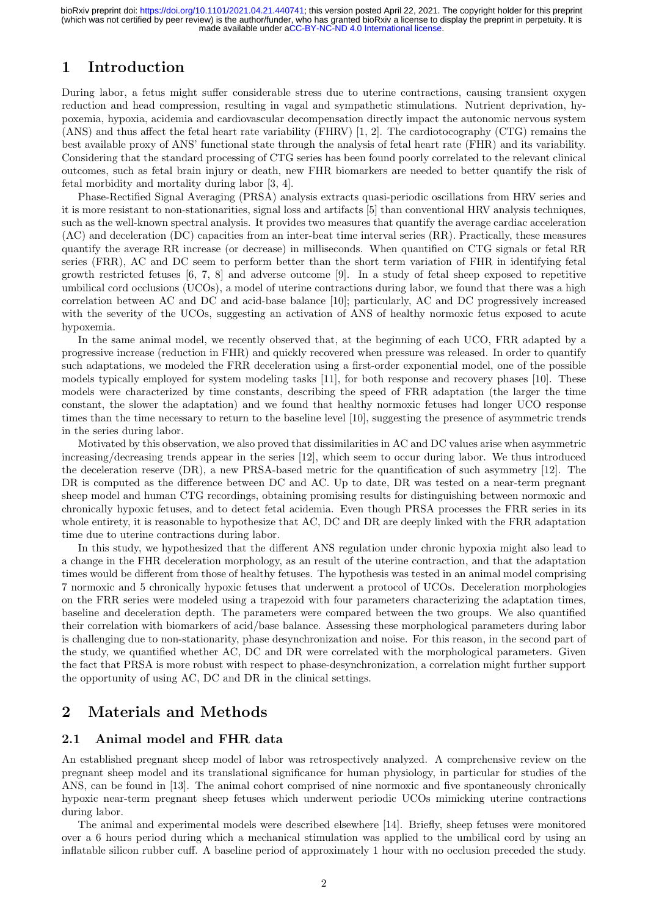# 1 Introduction

During labor, a fetus might suffer considerable stress due to uterine contractions, causing transient oxygen reduction and head compression, resulting in vagal and sympathetic stimulations. Nutrient deprivation, hypoxemia, hypoxia, acidemia and cardiovascular decompensation directly impact the autonomic nervous system (ANS) and thus affect the fetal heart rate variability (FHRV) [1, 2]. The cardiotocography (CTG) remains the best available proxy of ANS' functional state through the analysis of fetal heart rate (FHR) and its variability. Considering that the standard processing of CTG series has been found poorly correlated to the relevant clinical outcomes, such as fetal brain injury or death, new FHR biomarkers are needed to better quantify the risk of fetal morbidity and mortality during labor [3, 4].

Phase-Rectified Signal Averaging (PRSA) analysis extracts quasi-periodic oscillations from HRV series and it is more resistant to non-stationarities, signal loss and artifacts [5] than conventional HRV analysis techniques, such as the well-known spectral analysis. It provides two measures that quantify the average cardiac acceleration (AC) and deceleration (DC) capacities from an inter-beat time interval series (RR). Practically, these measures quantify the average RR increase (or decrease) in milliseconds. When quantified on CTG signals or fetal RR series (FRR), AC and DC seem to perform better than the short term variation of FHR in identifying fetal growth restricted fetuses [6, 7, 8] and adverse outcome [9]. In a study of fetal sheep exposed to repetitive umbilical cord occlusions (UCOs), a model of uterine contractions during labor, we found that there was a high correlation between AC and DC and acid-base balance [10]; particularly, AC and DC progressively increased with the severity of the UCOs, suggesting an activation of ANS of healthy normoxic fetus exposed to acute hypoxemia.

In the same animal model, we recently observed that, at the beginning of each UCO, FRR adapted by a progressive increase (reduction in FHR) and quickly recovered when pressure was released. In order to quantify such adaptations, we modeled the FRR deceleration using a first-order exponential model, one of the possible models typically employed for system modeling tasks [11], for both response and recovery phases [10]. These models were characterized by time constants, describing the speed of FRR adaptation (the larger the time constant, the slower the adaptation) and we found that healthy normoxic fetuses had longer UCO response times than the time necessary to return to the baseline level [10], suggesting the presence of asymmetric trends in the series during labor.

Motivated by this observation, we also proved that dissimilarities in AC and DC values arise when asymmetric increasing/decreasing trends appear in the series [12], which seem to occur during labor. We thus introduced the deceleration reserve (DR), a new PRSA-based metric for the quantification of such asymmetry [12]. The DR is computed as the difference between DC and AC. Up to date, DR was tested on a near-term pregnant sheep model and human CTG recordings, obtaining promising results for distinguishing between normoxic and chronically hypoxic fetuses, and to detect fetal acidemia. Even though PRSA processes the FRR series in its whole entirety, it is reasonable to hypothesize that AC, DC and DR are deeply linked with the FRR adaptation time due to uterine contractions during labor.

In this study, we hypothesized that the different ANS regulation under chronic hypoxia might also lead to a change in the FHR deceleration morphology, as an result of the uterine contraction, and that the adaptation times would be different from those of healthy fetuses. The hypothesis was tested in an animal model comprising 7 normoxic and 5 chronically hypoxic fetuses that underwent a protocol of UCOs. Deceleration morphologies on the FRR series were modeled using a trapezoid with four parameters characterizing the adaptation times, baseline and deceleration depth. The parameters were compared between the two groups. We also quantified their correlation with biomarkers of acid/base balance. Assessing these morphological parameters during labor is challenging due to non-stationarity, phase desynchronization and noise. For this reason, in the second part of the study, we quantified whether AC, DC and DR were correlated with the morphological parameters. Given the fact that PRSA is more robust with respect to phase-desynchronization, a correlation might further support the opportunity of using AC, DC and DR in the clinical settings.

# 2 Materials and Methods

#### 2.1 Animal model and FHR data

An established pregnant sheep model of labor was retrospectively analyzed. A comprehensive review on the pregnant sheep model and its translational significance for human physiology, in particular for studies of the ANS, can be found in [13]. The animal cohort comprised of nine normoxic and five spontaneously chronically hypoxic near-term pregnant sheep fetuses which underwent periodic UCOs mimicking uterine contractions during labor.

The animal and experimental models were described elsewhere [14]. Briefly, sheep fetuses were monitored over a 6 hours period during which a mechanical stimulation was applied to the umbilical cord by using an inflatable silicon rubber cuff. A baseline period of approximately 1 hour with no occlusion preceded the study.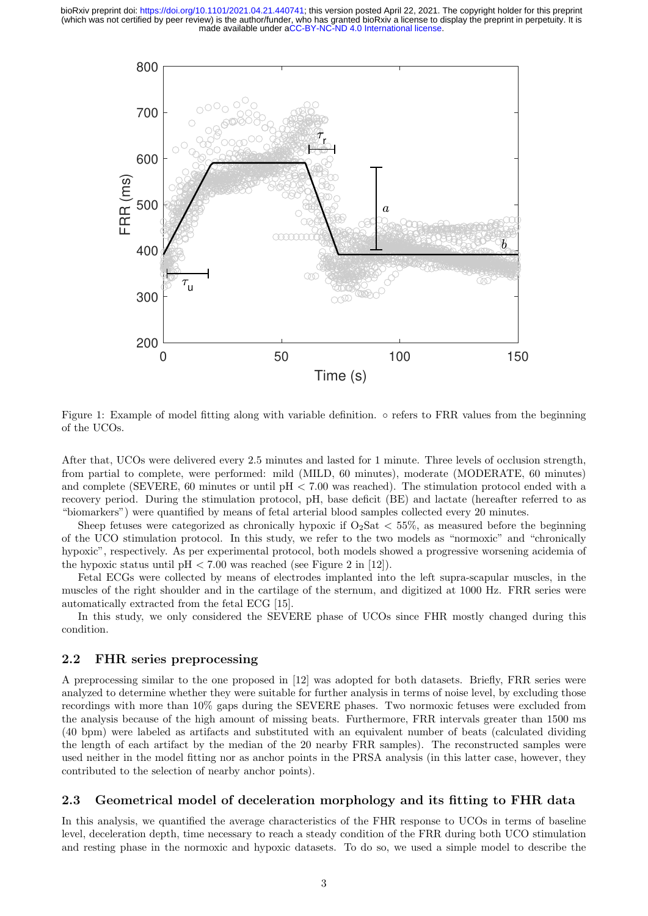

Figure 1: Example of model fitting along with variable definition. ◦ refers to FRR values from the beginning of the UCOs.

After that, UCOs were delivered every 2.5 minutes and lasted for 1 minute. Three levels of occlusion strength, from partial to complete, were performed: mild (MILD, 60 minutes), moderate (MODERATE, 60 minutes) and complete (SEVERE, 60 minutes or until pH < 7.00 was reached). The stimulation protocol ended with a recovery period. During the stimulation protocol, pH, base deficit (BE) and lactate (hereafter referred to as "biomarkers") were quantified by means of fetal arterial blood samples collected every 20 minutes.

Sheep fetuses were categorized as chronically hypoxic if  $O_2$ Sat  $<$  55%, as measured before the beginning of the UCO stimulation protocol. In this study, we refer to the two models as "normoxic" and "chronically hypoxic", respectively. As per experimental protocol, both models showed a progressive worsening acidemia of the hypoxic status until  $pH < 7.00$  was reached (see Figure 2 in [12]).

Fetal ECGs were collected by means of electrodes implanted into the left supra-scapular muscles, in the muscles of the right shoulder and in the cartilage of the sternum, and digitized at 1000 Hz. FRR series were automatically extracted from the fetal ECG [15].

In this study, we only considered the SEVERE phase of UCOs since FHR mostly changed during this condition.

#### 2.2 FHR series preprocessing

A preprocessing similar to the one proposed in [12] was adopted for both datasets. Briefly, FRR series were analyzed to determine whether they were suitable for further analysis in terms of noise level, by excluding those recordings with more than 10% gaps during the SEVERE phases. Two normoxic fetuses were excluded from the analysis because of the high amount of missing beats. Furthermore, FRR intervals greater than 1500 ms (40 bpm) were labeled as artifacts and substituted with an equivalent number of beats (calculated dividing the length of each artifact by the median of the 20 nearby FRR samples). The reconstructed samples were used neither in the model fitting nor as anchor points in the PRSA analysis (in this latter case, however, they contributed to the selection of nearby anchor points).

#### 2.3 Geometrical model of deceleration morphology and its fitting to FHR data

In this analysis, we quantified the average characteristics of the FHR response to UCOs in terms of baseline level, deceleration depth, time necessary to reach a steady condition of the FRR during both UCO stimulation and resting phase in the normoxic and hypoxic datasets. To do so, we used a simple model to describe the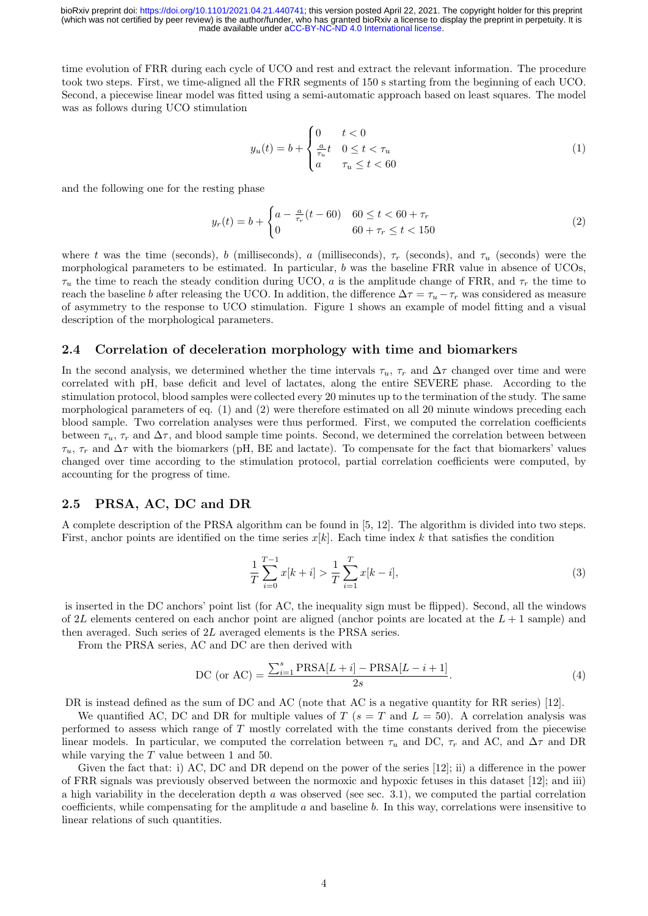time evolution of FRR during each cycle of UCO and rest and extract the relevant information. The procedure took two steps. First, we time-aligned all the FRR segments of 150 s starting from the beginning of each UCO. Second, a piecewise linear model was fitted using a semi-automatic approach based on least squares. The model was as follows during UCO stimulation

$$
y_u(t) = b + \begin{cases} 0 & t < 0 \\ \frac{a}{\tau_u}t & 0 \le t < \tau_u \\ a & \tau_u \le t < 60 \end{cases} \tag{1}
$$

and the following one for the resting phase

$$
y_r(t) = b + \begin{cases} a - \frac{a}{\tau_r}(t - 60) & 60 \le t < 60 + \tau_r \\ 0 & 60 + \tau_r \le t < 150 \end{cases}
$$
 (2)

where t was the time (seconds), b (milliseconds), a (milliseconds),  $\tau_r$  (seconds), and  $\tau_u$  (seconds) were the morphological parameters to be estimated. In particular, b was the baseline FRR value in absence of UCOs,  $\tau_u$  the time to reach the steady condition during UCO, a is the amplitude change of FRR, and  $\tau_r$  the time to reach the baseline b after releasing the UCO. In addition, the difference  $\Delta \tau = \tau_u - \tau_r$  was considered as measure of asymmetry to the response to UCO stimulation. Figure 1 shows an example of model fitting and a visual description of the morphological parameters.

### 2.4 Correlation of deceleration morphology with time and biomarkers

In the second analysis, we determined whether the time intervals  $\tau_u$ ,  $\tau_r$  and  $\Delta\tau$  changed over time and were correlated with pH, base deficit and level of lactates, along the entire SEVERE phase. According to the stimulation protocol, blood samples were collected every 20 minutes up to the termination of the study. The same morphological parameters of eq. (1) and (2) were therefore estimated on all 20 minute windows preceding each blood sample. Two correlation analyses were thus performed. First, we computed the correlation coefficients between  $\tau_u$ ,  $\tau_r$  and  $\Delta \tau$ , and blood sample time points. Second, we determined the correlation between between  $\tau_u$ ,  $\tau_r$  and  $\Delta \tau$  with the biomarkers (pH, BE and lactate). To compensate for the fact that biomarkers' values changed over time according to the stimulation protocol, partial correlation coefficients were computed, by accounting for the progress of time.

#### 2.5 PRSA, AC, DC and DR

A complete description of the PRSA algorithm can be found in [5, 12]. The algorithm is divided into two steps. First, anchor points are identified on the time series  $x[k]$ . Each time index k that satisfies the condition

$$
\frac{1}{T} \sum_{i=0}^{T-1} x[k+i] > \frac{1}{T} \sum_{i=1}^{T} x[k-i],\tag{3}
$$

is inserted in the DC anchors' point list (for AC, the inequality sign must be flipped). Second, all the windows of 2L elements centered on each anchor point are aligned (anchor points are located at the  $L + 1$  sample) and then averaged. Such series of 2L averaged elements is the PRSA series.

From the PRSA series, AC and DC are then derived with

DC (or AC) = 
$$
\frac{\sum_{i=1}^{s} \text{PRSA}[L+i] - \text{PRSA}[L-i+1]}{2s}.
$$
 (4)

DR is instead defined as the sum of DC and AC (note that AC is a negative quantity for RR series) [12].

We quantified AC, DC and DR for multiple values of T ( $s = T$  and  $L = 50$ ). A correlation analysis was performed to assess which range of T mostly correlated with the time constants derived from the piecewise linear models. In particular, we computed the correlation between  $\tau_u$  and DC,  $\tau_r$  and AC, and  $\Delta \tau$  and DR while varying the  $T$  value between 1 and 50.

Given the fact that: i) AC, DC and DR depend on the power of the series [12]; ii) a difference in the power of FRR signals was previously observed between the normoxic and hypoxic fetuses in this dataset [12]; and iii) a high variability in the deceleration depth  $a$  was observed (see sec. 3.1), we computed the partial correlation coefficients, while compensating for the amplitude  $a$  and baseline  $b$ . In this way, correlations were insensitive to linear relations of such quantities.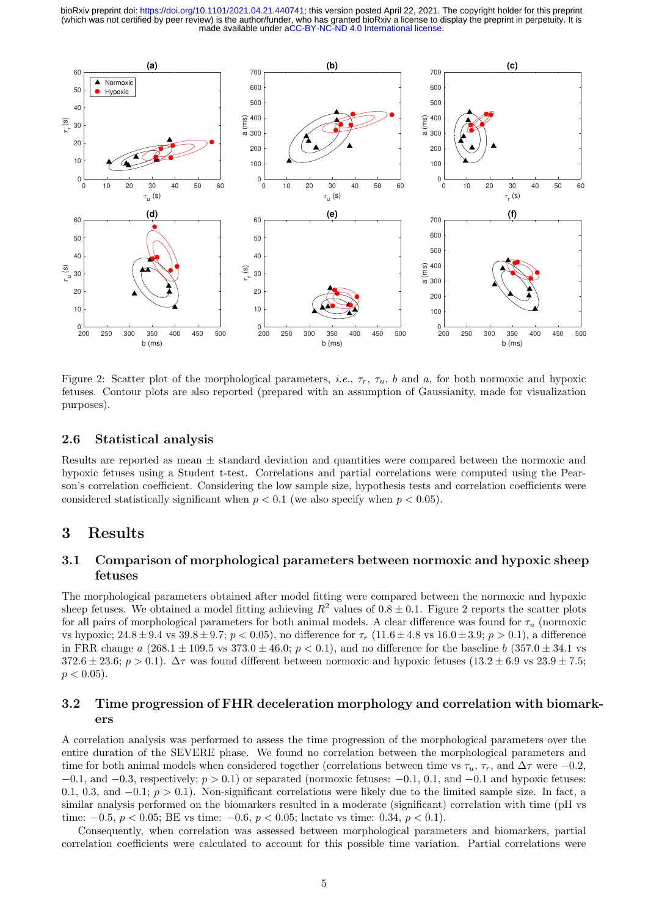

Figure 2: Scatter plot of the morphological parameters, *i.e.*,  $\tau_r$ ,  $\tau_u$ , *b* and *a*, for both normoxic and hypoxic fetuses. Contour plots are also reported (prepared with an assumption of Gaussianity, made for visualization purposes).

#### 2.6 Statistical analysis

Results are reported as mean  $\pm$  standard deviation and quantities were compared between the normoxic and hypoxic fetuses using a Student t-test. Correlations and partial correlations were computed using the Pearson's correlation coefficient. Considering the low sample size, hypothesis tests and correlation coefficients were considered statistically significant when  $p < 0.1$  (we also specify when  $p < 0.05$ ).

## 3 Results

### 3.1 Comparison of morphological parameters between normoxic and hypoxic sheep fetuses

The morphological parameters obtained after model fitting were compared between the normoxic and hypoxic sheep fetuses. We obtained a model fitting achieving  $R^2$  values of  $0.8 \pm 0.1$ . Figure 2 reports the scatter plots for all pairs of morphological parameters for both animal models. A clear difference was found for  $\tau_u$  (normoxic vs hypoxic;  $24.8 \pm 9.4$  vs  $39.8 \pm 9.7$ ;  $p < 0.05$ ), no difference for  $\tau_r$  (11.6  $\pm$  4.8 vs  $16.0 \pm 3.9$ ;  $p > 0.1$ ), a difference in FRR change a  $(268.1 \pm 109.5 \text{ vs } 373.0 \pm 46.0; p < 0.1)$ , and no difference for the baseline b  $(357.0 \pm 34.1 \text{ vs } 373.0 \pm 46.0; p < 0.1)$ 372.6 ± 23.6;  $p > 0.1$ ).  $\Delta \tau$  was found different between normoxic and hypoxic fetuses (13.2 ± 6.9 vs 23.9 ± 7.5;  $p < 0.05$ ).

### 3.2 Time progression of FHR deceleration morphology and correlation with biomarkers

A correlation analysis was performed to assess the time progression of the morphological parameters over the entire duration of the SEVERE phase. We found no correlation between the morphological parameters and time for both animal models when considered together (correlations between time vs  $\tau_u$ ,  $\tau_r$ , and  $\Delta\tau$  were −0.2,  $-0.1$ , and  $-0.3$ , respectively;  $p > 0.1$ ) or separated (normoxic fetuses:  $-0.1$ , 0.1, and  $-0.1$  and hypoxic fetuses: 0.1, 0.3, and  $-0.1$ ;  $p > 0.1$ ). Non-significant correlations were likely due to the limited sample size. In fact, a similar analysis performed on the biomarkers resulted in a moderate (significant) correlation with time (pH vs time:  $-0.5, p < 0.05$ ; BE vs time:  $-0.6, p < 0.05$ ; lactate vs time: 0.34,  $p < 0.1$ ).

Consequently, when correlation was assessed between morphological parameters and biomarkers, partial correlation coefficients were calculated to account for this possible time variation. Partial correlations were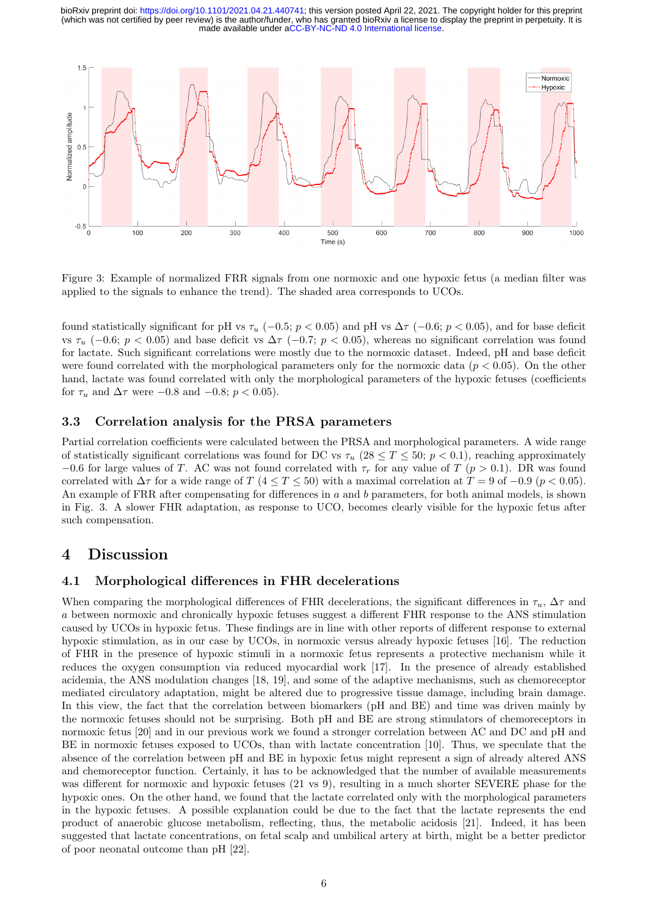

Figure 3: Example of normalized FRR signals from one normoxic and one hypoxic fetus (a median filter was applied to the signals to enhance the trend). The shaded area corresponds to UCOs.

found statistically significant for pH vs  $\tau_u$  (−0.5; p < 0.05) and pH vs  $\Delta\tau$  (−0.6; p < 0.05), and for base deficit vs  $\tau_u$  (−0.6; p < 0.05) and base deficit vs  $\Delta \tau$  (−0.7; p < 0.05), whereas no significant correlation was found for lactate. Such significant correlations were mostly due to the normoxic dataset. Indeed, pH and base deficit were found correlated with the morphological parameters only for the normoxic data ( $p < 0.05$ ). On the other hand, lactate was found correlated with only the morphological parameters of the hypoxic fetuses (coefficients for  $\tau_u$  and  $\Delta \tau$  were -0.8 and -0.8;  $p < 0.05$ ).

### 3.3 Correlation analysis for the PRSA parameters

Partial correlation coefficients were calculated between the PRSA and morphological parameters. A wide range of statistically significant correlations was found for DC vs  $\tau_u$  (28  $\leq T \leq 50$ ;  $p < 0.1$ ), reaching approximately −0.6 for large values of T. AC was not found correlated with  $\tau_r$  for any value of T (p > 0.1). DR was found correlated with  $\Delta \tau$  for a wide range of T (4 ≤ T ≤ 50) with a maximal correlation at T = 9 of -0.9 (p < 0.05). An example of FRR after compensating for differences in a and b parameters, for both animal models, is shown in Fig. 3. A slower FHR adaptation, as response to UCO, becomes clearly visible for the hypoxic fetus after such compensation.

### 4 Discussion

### 4.1 Morphological differences in FHR decelerations

When comparing the morphological differences of FHR decelerations, the significant differences in  $\tau_u$ ,  $\Delta \tau$  and a between normoxic and chronically hypoxic fetuses suggest a different FHR response to the ANS stimulation caused by UCOs in hypoxic fetus. These findings are in line with other reports of different response to external hypoxic stimulation, as in our case by UCOs, in normoxic versus already hypoxic fetuses [16]. The reduction of FHR in the presence of hypoxic stimuli in a normoxic fetus represents a protective mechanism while it reduces the oxygen consumption via reduced myocardial work [17]. In the presence of already established acidemia, the ANS modulation changes [18, 19], and some of the adaptive mechanisms, such as chemoreceptor mediated circulatory adaptation, might be altered due to progressive tissue damage, including brain damage. In this view, the fact that the correlation between biomarkers (pH and BE) and time was driven mainly by the normoxic fetuses should not be surprising. Both pH and BE are strong stimulators of chemoreceptors in normoxic fetus [20] and in our previous work we found a stronger correlation between AC and DC and pH and BE in normoxic fetuses exposed to UCOs, than with lactate concentration [10]. Thus, we speculate that the absence of the correlation between pH and BE in hypoxic fetus might represent a sign of already altered ANS and chemoreceptor function. Certainly, it has to be acknowledged that the number of available measurements was different for normoxic and hypoxic fetuses (21 vs 9), resulting in a much shorter SEVERE phase for the hypoxic ones. On the other hand, we found that the lactate correlated only with the morphological parameters in the hypoxic fetuses. A possible explanation could be due to the fact that the lactate represents the end product of anaerobic glucose metabolism, reflecting, thus, the metabolic acidosis [21]. Indeed, it has been suggested that lactate concentrations, on fetal scalp and umbilical artery at birth, might be a better predictor of poor neonatal outcome than pH [22].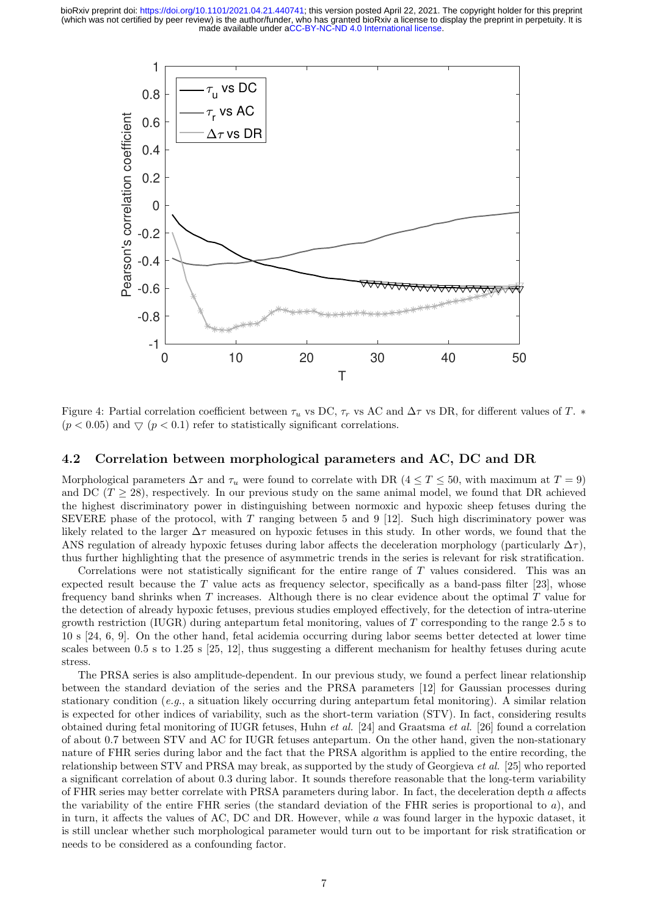

Figure 4: Partial correlation coefficient between  $\tau_u$  vs DC,  $\tau_r$  vs AC and  $\Delta \tau$  vs DR, for different values of T.  $*$  $(p < 0.05)$  and  $\bigtriangledown$   $(p < 0.1)$  refer to statistically significant correlations.

### 4.2 Correlation between morphological parameters and AC, DC and DR

Morphological parameters  $\Delta \tau$  and  $\tau_u$  were found to correlate with DR (4 ≤ T ≤ 50, with maximum at T = 9) and DC ( $T \geq 28$ ), respectively. In our previous study on the same animal model, we found that DR achieved the highest discriminatory power in distinguishing between normoxic and hypoxic sheep fetuses during the SEVERE phase of the protocol, with  $T$  ranging between 5 and 9 [12]. Such high discriminatory power was likely related to the larger  $\Delta \tau$  measured on hypoxic fetuses in this study. In other words, we found that the ANS regulation of already hypoxic fetuses during labor affects the deceleration morphology (particularly  $\Delta \tau$ ), thus further highlighting that the presence of asymmetric trends in the series is relevant for risk stratification.

Correlations were not statistically significant for the entire range of T values considered. This was an expected result because the T value acts as frequency selector, specifically as a band-pass filter [23], whose frequency band shrinks when  $T$  increases. Although there is no clear evidence about the optimal  $T$  value for the detection of already hypoxic fetuses, previous studies employed effectively, for the detection of intra-uterine growth restriction (IUGR) during antepartum fetal monitoring, values of T corresponding to the range 2.5 s to 10 s [24, 6, 9]. On the other hand, fetal acidemia occurring during labor seems better detected at lower time scales between 0.5 s to 1.25 s [25, 12], thus suggesting a different mechanism for healthy fetuses during acute stress.

The PRSA series is also amplitude-dependent. In our previous study, we found a perfect linear relationship between the standard deviation of the series and the PRSA parameters [12] for Gaussian processes during stationary condition (e.g., a situation likely occurring during antepartum fetal monitoring). A similar relation is expected for other indices of variability, such as the short-term variation (STV). In fact, considering results obtained during fetal monitoring of IUGR fetuses, Huhn et al. [24] and Graatsma et al. [26] found a correlation of about 0.7 between STV and AC for IUGR fetuses antepartum. On the other hand, given the non-stationary nature of FHR series during labor and the fact that the PRSA algorithm is applied to the entire recording, the relationship between STV and PRSA may break, as supported by the study of Georgieva et al. [25] who reported a significant correlation of about 0.3 during labor. It sounds therefore reasonable that the long-term variability of FHR series may better correlate with PRSA parameters during labor. In fact, the deceleration depth a affects the variability of the entire FHR series (the standard deviation of the FHR series is proportional to a), and in turn, it affects the values of AC, DC and DR. However, while a was found larger in the hypoxic dataset, it is still unclear whether such morphological parameter would turn out to be important for risk stratification or needs to be considered as a confounding factor.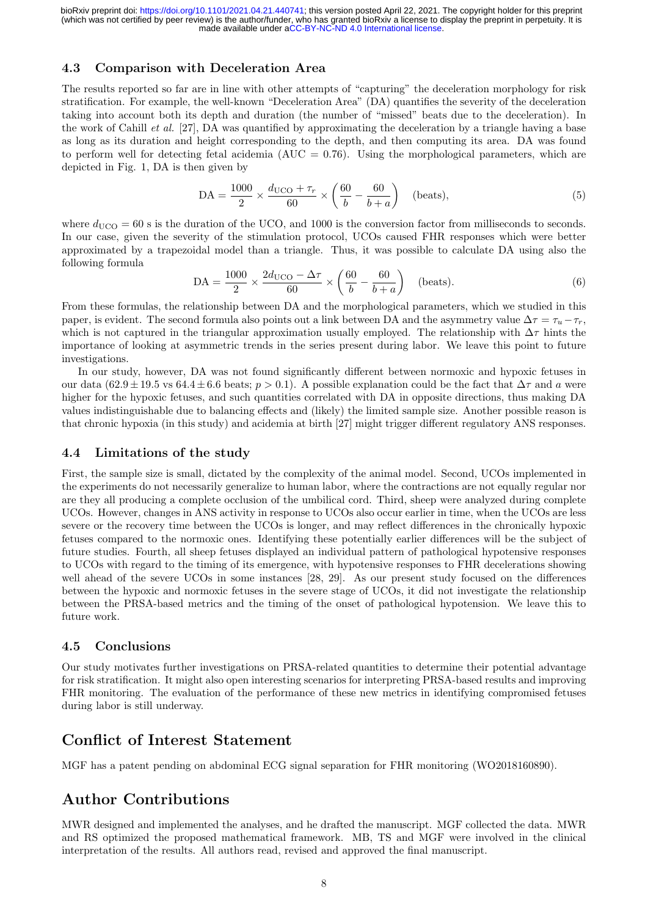### 4.3 Comparison with Deceleration Area

The results reported so far are in line with other attempts of "capturing" the deceleration morphology for risk stratification. For example, the well-known "Deceleration Area" (DA) quantifies the severity of the deceleration taking into account both its depth and duration (the number of "missed" beats due to the deceleration). In the work of Cahill et al. [27], DA was quantified by approximating the deceleration by a triangle having a base as long as its duration and height corresponding to the depth, and then computing its area. DA was found to perform well for detecting fetal acidemia ( $AUC = 0.76$ ). Using the morphological parameters, which are depicted in Fig. 1, DA is then given by

$$
DA = \frac{1000}{2} \times \frac{d_{\text{UCO}} + \tau_r}{60} \times \left(\frac{60}{b} - \frac{60}{b+a}\right) \quad \text{(beats)},\tag{5}
$$

where  $d_{\text{UCO}} = 60$  s is the duration of the UCO, and 1000 is the conversion factor from milliseconds to seconds. In our case, given the severity of the stimulation protocol, UCOs caused FHR responses which were better approximated by a trapezoidal model than a triangle. Thus, it was possible to calculate DA using also the following formula

$$
DA = \frac{1000}{2} \times \frac{2d_{\text{UCO}} - \Delta \tau}{60} \times \left(\frac{60}{b} - \frac{60}{b+a}\right) \quad \text{(beats)}.
$$
 (6)

From these formulas, the relationship between DA and the morphological parameters, which we studied in this paper, is evident. The second formula also points out a link between DA and the asymmetry value  $\Delta \tau = \tau_u - \tau_r$ , which is not captured in the triangular approximation usually employed. The relationship with  $\Delta \tau$  hints the importance of looking at asymmetric trends in the series present during labor. We leave this point to future investigations.

In our study, however, DA was not found significantly different between normoxic and hypoxic fetuses in our data  $(62.9 \pm 19.5 \text{ vs } 64.4 \pm 6.6 \text{ beats}; p > 0.1)$ . A possible explanation could be the fact that  $\Delta \tau$  and a were higher for the hypoxic fetuses, and such quantities correlated with DA in opposite directions, thus making DA values indistinguishable due to balancing effects and (likely) the limited sample size. Another possible reason is that chronic hypoxia (in this study) and acidemia at birth [27] might trigger different regulatory ANS responses.

#### 4.4 Limitations of the study

First, the sample size is small, dictated by the complexity of the animal model. Second, UCOs implemented in the experiments do not necessarily generalize to human labor, where the contractions are not equally regular nor are they all producing a complete occlusion of the umbilical cord. Third, sheep were analyzed during complete UCOs. However, changes in ANS activity in response to UCOs also occur earlier in time, when the UCOs are less severe or the recovery time between the UCOs is longer, and may reflect differences in the chronically hypoxic fetuses compared to the normoxic ones. Identifying these potentially earlier differences will be the subject of future studies. Fourth, all sheep fetuses displayed an individual pattern of pathological hypotensive responses to UCOs with regard to the timing of its emergence, with hypotensive responses to FHR decelerations showing well ahead of the severe UCOs in some instances [28, 29]. As our present study focused on the differences between the hypoxic and normoxic fetuses in the severe stage of UCOs, it did not investigate the relationship between the PRSA-based metrics and the timing of the onset of pathological hypotension. We leave this to future work.

#### 4.5 Conclusions

Our study motivates further investigations on PRSA-related quantities to determine their potential advantage for risk stratification. It might also open interesting scenarios for interpreting PRSA-based results and improving FHR monitoring. The evaluation of the performance of these new metrics in identifying compromised fetuses during labor is still underway.

## Conflict of Interest Statement

MGF has a patent pending on abdominal ECG signal separation for FHR monitoring (WO2018160890).

# Author Contributions

MWR designed and implemented the analyses, and he drafted the manuscript. MGF collected the data. MWR and RS optimized the proposed mathematical framework. MB, TS and MGF were involved in the clinical interpretation of the results. All authors read, revised and approved the final manuscript.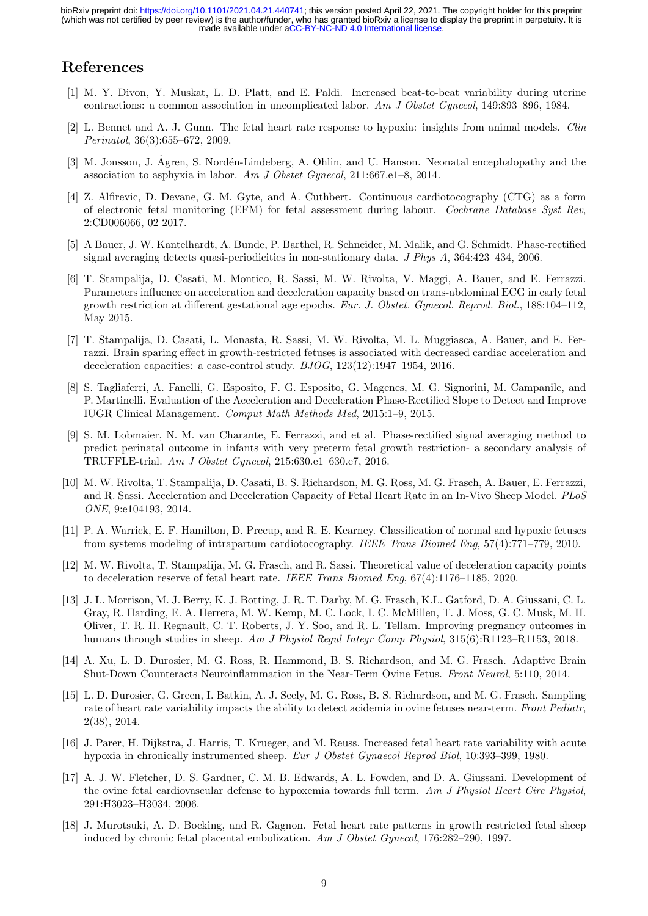# References

- [1] M. Y. Divon, Y. Muskat, L. D. Platt, and E. Paldi. Increased beat-to-beat variability during uterine contractions: a common association in uncomplicated labor. Am J Obstet Gynecol, 149:893–896, 1984.
- [2] L. Bennet and A. J. Gunn. The fetal heart rate response to hypoxia: insights from animal models. Clin Perinatol, 36(3):655–672, 2009.
- [3] M. Jonsson, J. Agren, S. Nordén-Lindeberg, A. Ohlin, and U. Hanson. Neonatal encephalopathy and the association to asphyxia in labor. Am J Obstet Gynecol, 211:667.e1–8, 2014.
- [4] Z. Alfirevic, D. Devane, G. M. Gyte, and A. Cuthbert. Continuous cardiotocography (CTG) as a form of electronic fetal monitoring (EFM) for fetal assessment during labour. Cochrane Database Syst Rev, 2:CD006066, 02 2017.
- [5] A Bauer, J. W. Kantelhardt, A. Bunde, P. Barthel, R. Schneider, M. Malik, and G. Schmidt. Phase-rectified signal averaging detects quasi-periodicities in non-stationary data. J Phys A, 364:423–434, 2006.
- [6] T. Stampalija, D. Casati, M. Montico, R. Sassi, M. W. Rivolta, V. Maggi, A. Bauer, and E. Ferrazzi. Parameters influence on acceleration and deceleration capacity based on trans-abdominal ECG in early fetal growth restriction at different gestational age epochs. Eur. J. Obstet. Gynecol. Reprod. Biol., 188:104–112, May 2015.
- [7] T. Stampalija, D. Casati, L. Monasta, R. Sassi, M. W. Rivolta, M. L. Muggiasca, A. Bauer, and E. Ferrazzi. Brain sparing effect in growth-restricted fetuses is associated with decreased cardiac acceleration and deceleration capacities: a case-control study. BJOG, 123(12):1947–1954, 2016.
- [8] S. Tagliaferri, A. Fanelli, G. Esposito, F. G. Esposito, G. Magenes, M. G. Signorini, M. Campanile, and P. Martinelli. Evaluation of the Acceleration and Deceleration Phase-Rectified Slope to Detect and Improve IUGR Clinical Management. Comput Math Methods Med, 2015:1–9, 2015.
- [9] S. M. Lobmaier, N. M. van Charante, E. Ferrazzi, and et al. Phase-rectified signal averaging method to predict perinatal outcome in infants with very preterm fetal growth restriction- a secondary analysis of TRUFFLE-trial. Am J Obstet Gynecol, 215:630.e1–630.e7, 2016.
- [10] M. W. Rivolta, T. Stampalija, D. Casati, B. S. Richardson, M. G. Ross, M. G. Frasch, A. Bauer, E. Ferrazzi, and R. Sassi. Acceleration and Deceleration Capacity of Fetal Heart Rate in an In-Vivo Sheep Model. PLoS ONE, 9:e104193, 2014.
- [11] P. A. Warrick, E. F. Hamilton, D. Precup, and R. E. Kearney. Classification of normal and hypoxic fetuses from systems modeling of intrapartum cardiotocography. IEEE Trans Biomed Eng, 57(4):771–779, 2010.
- [12] M. W. Rivolta, T. Stampalija, M. G. Frasch, and R. Sassi. Theoretical value of deceleration capacity points to deceleration reserve of fetal heart rate. IEEE Trans Biomed Eng, 67(4):1176–1185, 2020.
- [13] J. L. Morrison, M. J. Berry, K. J. Botting, J. R. T. Darby, M. G. Frasch, K.L. Gatford, D. A. Giussani, C. L. Gray, R. Harding, E. A. Herrera, M. W. Kemp, M. C. Lock, I. C. McMillen, T. J. Moss, G. C. Musk, M. H. Oliver, T. R. H. Regnault, C. T. Roberts, J. Y. Soo, and R. L. Tellam. Improving pregnancy outcomes in humans through studies in sheep. Am J Physiol Regul Integr Comp Physiol, 315(6):R1123–R1153, 2018.
- [14] A. Xu, L. D. Durosier, M. G. Ross, R. Hammond, B. S. Richardson, and M. G. Frasch. Adaptive Brain Shut-Down Counteracts Neuroinflammation in the Near-Term Ovine Fetus. Front Neurol, 5:110, 2014.
- [15] L. D. Durosier, G. Green, I. Batkin, A. J. Seely, M. G. Ross, B. S. Richardson, and M. G. Frasch. Sampling rate of heart rate variability impacts the ability to detect acidemia in ovine fetuses near-term. Front Pediatr, 2(38), 2014.
- [16] J. Parer, H. Dijkstra, J. Harris, T. Krueger, and M. Reuss. Increased fetal heart rate variability with acute hypoxia in chronically instrumented sheep. Eur J Obstet Gynaecol Reprod Biol, 10:393–399, 1980.
- [17] A. J. W. Fletcher, D. S. Gardner, C. M. B. Edwards, A. L. Fowden, and D. A. Giussani. Development of the ovine fetal cardiovascular defense to hypoxemia towards full term. Am J Physiol Heart Circ Physiol, 291:H3023–H3034, 2006.
- [18] J. Murotsuki, A. D. Bocking, and R. Gagnon. Fetal heart rate patterns in growth restricted fetal sheep induced by chronic fetal placental embolization. Am J Obstet Gynecol, 176:282–290, 1997.